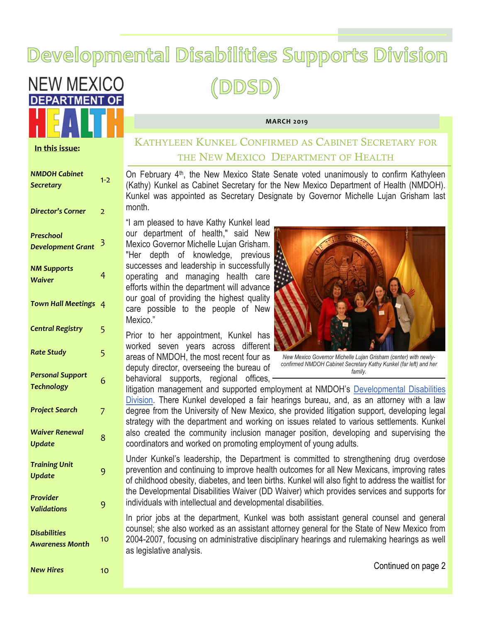# Developmental Disabilities Supports Division

(DDSD)



#### **In this issue:**

# KATHYLEEN KUNKEL CONFIRMED AS CABINET SECRETARY FOR THE NEW MEXICO DEPARTMENT OF HEALTH

On February 4th, the New Mexico State Senate voted unanimously to confirm Kathyleen (Kathy) Kunkel as Cabinet Secretary for the New Mexico Department of Health (NMDOH). Kunkel was appointed as Secretary Designate by Governor Michelle Lujan Grisham last month.

**MARCH 2019**

"I am pleased to have Kathy Kunkel lead our department of health," said New Mexico Governor Michelle Lujan Grisham. "Her depth of knowledge, previous successes and leadership in successfully operating and managing health care efforts within the department will advance our goal of providing the highest quality care possible to the people of New Mexico."

Prior to her appointment, Kunkel has worked seven years across different areas of NMDOH, the most recent four as deputy director, overseeing the bureau of behavioral supports, regional offices,



*New Mexico Governor Michelle Lujan Grisham (center) with newlyconfirmed NMDOH Cabinet Secretary Kathy Kunkel (far left) and her family.*

litigation management and supported employment at NMDOH's [Developmental Disabilities](https://clicktime.symantec.com/3FVqFrZKne8Z7FcgA4i1pk7Vc?u=http%3A%2F%2Fr20.rs6.net%2Ftn.jsp%3Ff%3D001hDJfvwitOAajtfzVrmrY9Fk-MM7DMdo-NaXtgrh9rV1uxVzQef9c4o8aAMtX-zdnvyqqeUPiG6TtTStMG5Xxgm69GZT34J1iwH-tLypPMJnhvuHsjiSahs_UkpdXgPiIFvubdo5cHvEbtouOXXpBiTv2j1lBF)  [Division.](https://clicktime.symantec.com/3FVqFrZKne8Z7FcgA4i1pk7Vc?u=http%3A%2F%2Fr20.rs6.net%2Ftn.jsp%3Ff%3D001hDJfvwitOAajtfzVrmrY9Fk-MM7DMdo-NaXtgrh9rV1uxVzQef9c4o8aAMtX-zdnvyqqeUPiG6TtTStMG5Xxgm69GZT34J1iwH-tLypPMJnhvuHsjiSahs_UkpdXgPiIFvubdo5cHvEbtouOXXpBiTv2j1lBF) There Kunkel developed a fair hearings bureau, and, as an attorney with a law degree from the University of New Mexico, she provided litigation support, developing legal strategy with the department and working on issues related to various settlements. Kunkel also created the community inclusion manager position, developing and supervising the coordinators and worked on promoting employment of young adults.

Under Kunkel's leadership, the Department is committed to strengthening drug overdose prevention and continuing to improve health outcomes for all New Mexicans, improving rates of childhood obesity, diabetes, and teen births. Kunkel will also fight to address the waitlist for the Developmental Disabilities Waiver (DD Waiver) which provides services and supports for individuals with intellectual and developmental disabilities.

In prior jobs at the department, Kunkel was both assistant general counsel and general counsel; she also worked as an assistant attorney general for the State of New Mexico from 2004-2007, focusing on administrative disciplinary hearings and rulemaking hearings as well as legislative analysis.

Continued on page 2

| <b>NMDOH Cabinet</b><br><b>Secretary</b>      | $1-2$          |
|-----------------------------------------------|----------------|
| <b>Director's Corner</b>                      | 2              |
| <b>Preschool</b><br><b>Development Grant</b>  | 3              |
| <b>NM Supports</b><br><b>Waiver</b>           | 4              |
| <b>Town Hall Meetings</b>                     | 4              |
| <b>Central Registry</b>                       | 5              |
| <b>Rate Study</b>                             | 5              |
| <b>Personal Support</b><br><b>Technology</b>  | 6              |
| <b>Project Search</b>                         | $\overline{7}$ |
| <b>Waiver Renewal</b><br><b>Update</b>        | 8              |
| <b>Training Unit</b><br><b>Update</b>         | 9              |
| <b>Provider</b><br><b>Validations</b>         | 9              |
| <b>Disabilities</b><br><b>Awareness Month</b> | 10             |
| <b>New Hires</b>                              | 10             |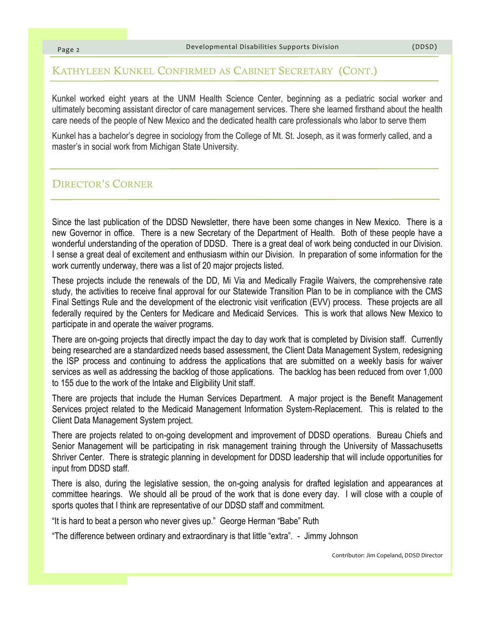#### KATHYLEEN KUNKEL CONFIRMED AS CABINET SECRETARY (CONT.)

Kunkel worked eight years at the UNM Health Science Center, beginning as a pediatric social worker and ultimately becoming assistant director of care management services. There she learned firsthand about the health care needs of the people of New Mexico and the dedicated health care professionals who labor to serve them

Kunkel has a bachelor's degree in sociology from the College of Mt. St. Joseph, as it was formerly called, and a master's in social work from Michigan State University.

#### DIRECTOR'S CORNER

Since the last publication of the DDSD Newsletter, there have been some changes in New Mexico. There is a new Governor in office. There is a new Secretary of the Department of Health. Both of these people have a wonderful understanding of the operation of DDSD. There is a great deal of work being conducted in our Division. I sense a great deal of excitement and enthusiasm within our Division. In preparation of some information for the work currently underway, there was a list of 20 major projects listed.

These projects include the renewals of the DD, Mi Via and Medically Fragile Waivers, the comprehensive rate study, the activities to receive final approval for our Statewide Transition Plan to be in compliance with the CMS Final Settings Rule and the development of the electronic visit verification (EVV) process. These projects are all federally required by the Centers for Medicare and Medicaid Services. This is work that allows New Mexico to participate in and operate the waiver programs.

There are on-going projects that directly impact the day to day work that is completed by Division staff. Currently being researched are a standardized needs based assessment, the Client Data Management System, redesigning the ISP process and continuing to address the applications that are submitted on a weekly basis for waiver services as well as addressing the backlog of those applications. The backlog has been reduced from over 1,000 to 155 due to the work of the Intake and Eligibility Unit staff.

There are projects that include the Human Services Department. A major project is the Benefit Management Services project related to the Medicaid Management Information System-Replacement. This is related to the Client Data Management System project.

There are projects related to on-going development and improvement of DDSD operations. Bureau Chiefs and Senior Management will be participating in risk management training through the University of Massachusetts Shriver Center. There is strategic planning in development for DDSD leadership that will include opportunities for input from DDSD staff.

There is also, during the legislative session, the on-going analysis for drafted legislation and appearances at committee hearings. We should all be proud of the work that is done every day. I will close with a couple of sports quotes that I think are representative of our DDSD staff and commitment.

"It is hard to beat a person who never gives up." George Herman "Babe" Ruth

"The difference between ordinary and extraordinary is that little "extra". - Jimmy Johnson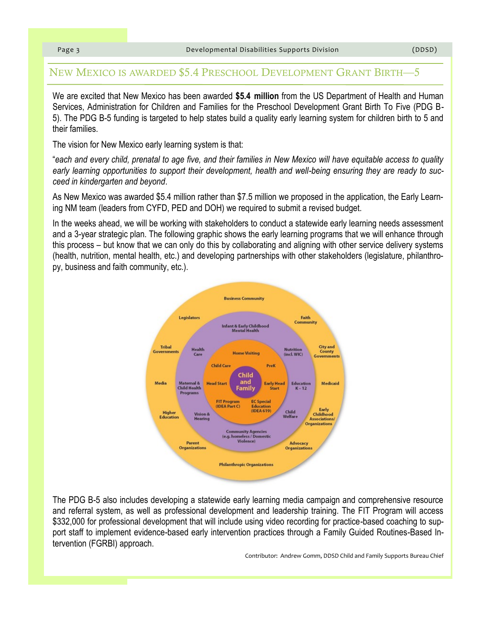### NEW MEXICO IS AWARDED \$5.4 PRESCHOOL DEVELOPMENT GRANT BIRTH—5

We are excited that New Mexico has been awarded **\$5.4 million** from the US Department of Health and Human Services, Administration for Children and Families for the [Preschool Development Grant Birth To Five \(PDG B-](https://ami.grantsolutions.gov/files/HHS-2018-ACF-OCC-TP-1379_0.pdf)[5\).](https://ami.grantsolutions.gov/files/HHS-2018-ACF-OCC-TP-1379_0.pdf) The PDG B-5 funding is targeted to help states build a quality early learning system for children birth to 5 and their families.

The vision for New Mexico early learning system is that:

"*each and every child, prenatal to age five, and their families in New Mexico will have equitable access to quality early learning opportunities to support their development, health and well-being ensuring they are ready to succeed in kindergarten and beyond*.

As New Mexico was awarded \$5.4 million rather than \$7.5 million we proposed in the application, the [Early Learn](https://www.earlylearningnm.org/administration)[ing NM team \(](https://www.earlylearningnm.org/administration)leaders from CYFD, PED and DOH) we required to submit a revised budget.

In the weeks ahead, we will be working with stakeholders to conduct a statewide early learning needs assessment and a 3-year strategic plan. The following graphic shows the early learning programs that we will enhance through this process – but know that we can only do this by collaborating and aligning with other service delivery systems (health, nutrition, mental health, etc.) and developing partnerships with other stakeholders (legislature, philanthropy, business and faith community, etc.).



The PDG B-5 also includes developing a statewide early learning media campaign and comprehensive resource and referral system, as well as professional development and leadership training. The FIT Program will access \$332,000 for professional development that will include using video recording for practice-based coaching to support staff to implement evidence-based early intervention practices through a Family Guided Routines-Based Intervention (FGRBI) approach.

Contributor: Andrew Gomm, DDSD Child and Family Supports Bureau Chief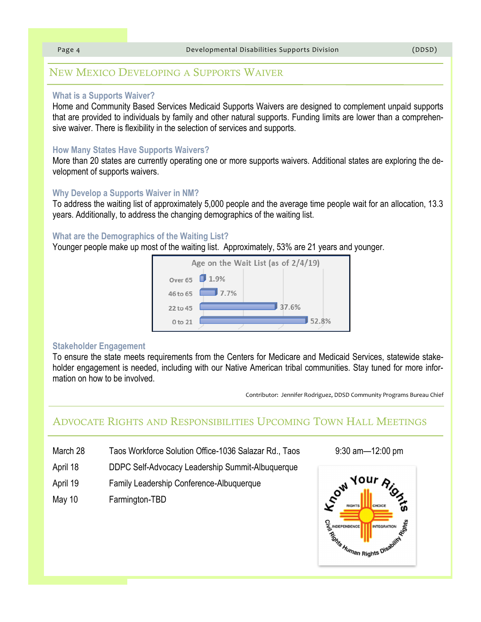# NEW MEXICO DEVELOPING A SUPPORTS WAIVER

#### **What is a Supports Waiver?**

Home and Community Based Services Medicaid Supports Waivers are designed to complement unpaid supports that are provided to individuals by family and other natural supports. Funding limits are lower than a comprehensive waiver. There is flexibility in the selection of services and supports.

#### **How Many States Have Supports Waivers?**

More than 20 states are currently operating one or more supports waivers. Additional states are exploring the development of supports waivers.

#### **Why Develop a Supports Waiver in NM?**

To address the waiting list of approximately 5,000 people and the average time people wait for an allocation, 13.3 years. Additionally, to address the changing demographics of the waiting list.

#### **What are the Demographics of the Waiting List?**

Younger people make up most of the waiting list. Approximately, 53% are 21 years and younger.



#### **Stakeholder Engagement**

To ensure the state meets requirements from the Centers for Medicare and Medicaid Services, statewide stakeholder engagement is needed, including with our Native American tribal communities. Stay tuned for more information on how to be involved.

Contributor: Jennifer Rodriguez, DDSD Community Programs Bureau Chief

# ADVOCATE RIGHTS AND RESPONSIBILITIES UPCOMING TOWN HALL MEETINGS

- March 28 Taos Workforce Solution Office-1036 Salazar Rd., Taos 9:30 am 12:00 pm
- April 18 DDPC Self-Advocacy Leadership Summit-Albuquerque
- April 19 Family Leadership Conference-Albuquerque
- May 10 Farmington-TBD

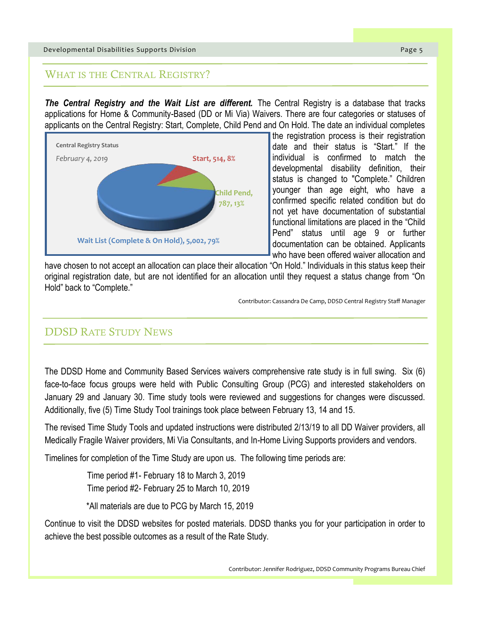### WHAT IS THE CENTRAL REGISTRY?

**The Central Registry and the Wait List are different.** The Central Registry is a database that tracks applications for Home & Community-Based (DD or Mi Via) Waivers. There are four categories or statuses of applicants on the Central Registry: Start, Complete, Child Pend and On Hold. The date an individual completes



the registration process is their registration date and their status is "Start." If the individual is confirmed to match the developmental disability definition, their status is changed to "Complete." Children younger than age eight, who have a confirmed specific related condition but do not yet have documentation of substantial functional limitations are placed in the "Child Pend" status until age 9 or further documentation can be obtained. Applicants who have been offered waiver allocation and

have chosen to not accept an allocation can place their allocation "On Hold." Individuals in this status keep their original registration date, but are not identified for an allocation until they request a status change from "On Hold" back to "Complete."

Contributor: Cassandra De Camp, DDSD Central Registry Staff Manager

# DDSD RATE STUDY NEWS

The DDSD Home and Community Based Services waivers comprehensive rate study is in full swing. Six (6) face-to-face focus groups were held with Public Consulting Group (PCG) and interested stakeholders on January 29 and January 30. Time study tools were reviewed and suggestions for changes were discussed. Additionally, five (5) Time Study Tool trainings took place between February 13, 14 and 15.

The revised Time Study Tools and updated instructions were distributed 2/13/19 to all DD Waiver providers, all Medically Fragile Waiver providers, Mi Via Consultants, and In-Home Living Supports providers and vendors.

Timelines for completion of the Time Study are upon us. The following time periods are:

Time period #1- February 18 to March 3, 2019 Time period #2- February 25 to March 10, 2019

\*All materials are due to PCG by March 15, 2019

Continue to visit the DDSD websites for posted materials. DDSD thanks you for your participation in order to achieve the best possible outcomes as a result of the Rate Study.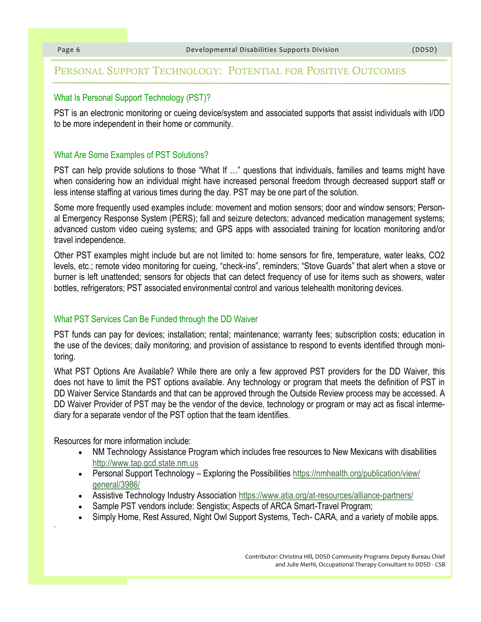#### PERSONAL SUPPORT TECHNOLOGY: POTENTIAL FOR POSITIVE OUTCOMES

#### What Is Personal Support Technology (PST)?

PST is an electronic monitoring or cueing device/system and associated supports that assist individuals with I/DD to be more independent in their home or community.

#### What Are Some Examples of PST Solutions?

PST can help provide solutions to those "What If …" questions that individuals, families and teams might have when considering how an individual might have increased personal freedom through decreased support staff or less intense staffing at various times during the day. PST may be one part of the solution.

Some more frequently used examples include: movement and motion sensors; door and window sensors; Personal Emergency Response System (PERS); fall and seizure detectors; advanced medication management systems; advanced custom video cueing systems; and GPS apps with associated training for location monitoring and/or travel independence.

Other PST examples might include but are not limited to: home sensors for fire, temperature, water leaks, CO2 levels, etc.; remote video monitoring for cueing, "check-ins", reminders; "Stove Guards" that alert when a stove or burner is left unattended; sensors for objects that can detect frequency of use for items such as showers, water bottles, refrigerators; PST associated environmental control and various telehealth monitoring devices.

#### What PST Services Can Be Funded through the DD Waiver

PST funds can pay for devices; installation; rental; maintenance; warranty fees; subscription costs; education in the use of the devices; daily monitoring; and provision of assistance to respond to events identified through monitoring.

What PST Options Are Available? While there are only a few approved PST providers for the DD Waiver, this does not have to limit the PST options available. Any technology or program that meets the definition of PST in DD Waiver Service Standards and that can be approved through the Outside Review process may be accessed. A DD Waiver Provider of PST may be the vendor of the device, technology or program or may act as fiscal intermediary for a separate vendor of the PST option that the team identifies.

Resources for more information include:

-

- NM Technology Assistance Program which includes free resources to New Mexicans with disabilities <http://www.tap.gcd.state.nm.us>
- Personal Support Technology Exploring the Possibilities [https://nmhealth.org/publication/view/](https://nmhealth.org/publication/view/general/3986/) [general/3986/](https://nmhealth.org/publication/view/general/3986/)
- Assistive Technology Industry Association <https://www.atia.org/at-resources/alliance-partners/>
- Sample PST vendors include: Sengistix; Aspects of ARCA Smart-Travel Program;
- Simply Home, Rest Assured, Night Owl Support Systems, Tech- CARA, and a variety of mobile apps.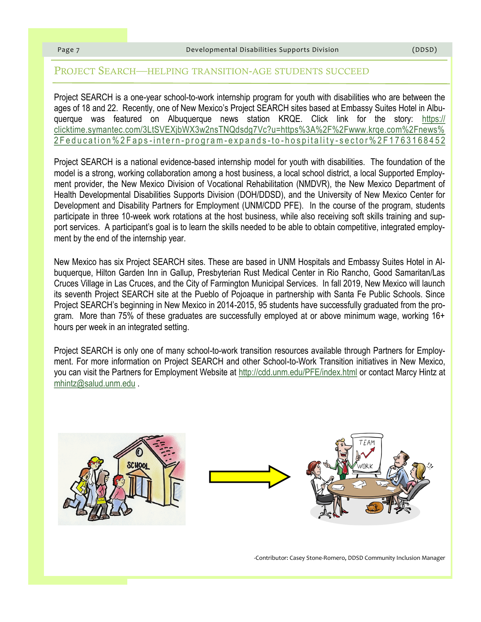#### PROJECT SEARCH—HELPING TRANSITION-AGE STUDENTS SUCCEED

Project SEARCH is a one-year school-to-work internship program for youth with disabilities who are between the ages of 18 and 22. Recently, one of New Mexico's Project SEARCH sites based at Embassy Suites Hotel in Albuquerque was featured on Albuquerque news station KRQE. Click link for the story: [https://](https://clicktime.symantec.com/3LtSVEXjbWX3w2nsTNQdsdg7Vc?u=https%3A%2F%2Fwww.krqe.com%2Fnews%2Feducation%2Faps-intern-program-expands-to-hospitality-sector%2F1763168452) [clicktime.symantec.com/3LtSVEXjbWX3w2nsTNQdsdg7Vc?u=https%3A%2F%2Fwww.krqe.com%2Fnews%](https://clicktime.symantec.com/3LtSVEXjbWX3w2nsTNQdsdg7Vc?u=https%3A%2F%2Fwww.krqe.com%2Fnews%2Feducation%2Faps-intern-program-expands-to-hospitality-sector%2F1763168452) 2 Feducation % 2 Faps-intern-program-expands-to-hospitality-sector % 2 F 1 7 6 3 1 6 8 4 5 2

Project SEARCH is a national evidence-based internship model for youth with disabilities. The foundation of the model is a strong, working collaboration among a host business, a local school district, a local Supported Employment provider, the New Mexico Division of Vocational Rehabilitation (NMDVR), the New Mexico Department of Health Developmental Disabilities Supports Division (DOH/DDSD), and the University of New Mexico Center for Development and Disability Partners for Employment (UNM/CDD PFE). In the course of the program, students participate in three 10-week work rotations at the host business, while also receiving soft skills training and support services. A participant's goal is to learn the skills needed to be able to obtain competitive, integrated employment by the end of the internship year.

New Mexico has six Project SEARCH sites. These are based in UNM Hospitals and Embassy Suites Hotel in Albuquerque, Hilton Garden Inn in Gallup, Presbyterian Rust Medical Center in Rio Rancho, Good Samaritan/Las Cruces Village in Las Cruces, and the City of Farmington Municipal Services. In fall 2019, New Mexico will launch its seventh Project SEARCH site at the Pueblo of Pojoaque in partnership with Santa Fe Public Schools. Since Project SEARCH's beginning in New Mexico in 2014-2015, 95 students have successfully graduated from the program. More than 75% of these graduates are successfully employed at or above minimum wage, working 16+ hours per week in an integrated setting.

Project SEARCH is only one of many school-to-work transition resources available through Partners for Employment. For more information on Project SEARCH and other School-to-Work Transition initiatives in New Mexico, you can visit the Partners for Employment Website at <http://cdd.unm.edu/PFE/index.html> or contact Marcy Hintz at [mhintz@salud.unm.edu](mailto:mhintz@salud.unm.edu) .





Contributor: Casey Stone-Romero, DDSD Community Inclusion Manager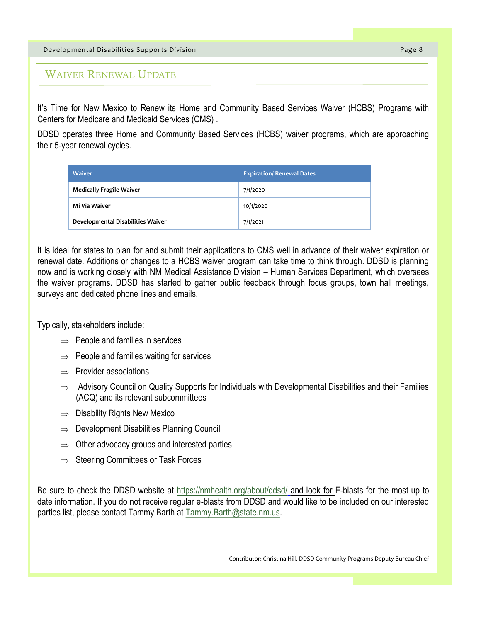Developmental Disabilities Supports Division Page 8

WAIVER RENEWAL UPDATE

It's Time for New Mexico to Renew its Home and Community Based Services Waiver (HCBS) Programs with Centers for Medicare and Medicaid Services (CMS) .

DDSD operates three Home and Community Based Services (HCBS) waiver programs, which are approaching their 5-year renewal cycles.

| <b>Waiver</b>                     | <b>Expiration/Renewal Dates</b> |
|-----------------------------------|---------------------------------|
| <b>Medically Fragile Waiver</b>   | 7/1/2020                        |
| Mi Via Waiver                     | 10/1/2020                       |
| Developmental Disabilities Waiver | 7/1/2021                        |

It is ideal for states to plan for and submit their applications to CMS well in advance of their waiver expiration or renewal date. Additions or changes to a HCBS waiver program can take time to think through. DDSD is planning now and is working closely with NM Medical Assistance Division – Human Services Department, which oversees the waiver programs. DDSD has started to gather public feedback through focus groups, town hall meetings, surveys and dedicated phone lines and emails.

Typically, stakeholders include:

- $\Rightarrow$  People and families in services
- $\Rightarrow$  People and families waiting for services
- $\Rightarrow$  Provider associations
- $\Rightarrow$  Advisory Council on Quality Supports for Individuals with Developmental Disabilities and their Families (ACQ) and its relevant subcommittees
- $\Rightarrow$  Disability Rights New Mexico
- $\Rightarrow$  Development Disabilities Planning Council
- $\Rightarrow$  Other advocacy groups and interested parties
- $\Rightarrow$  Steering Committees or Task Forces

Be sure to check the DDSD website at <https://nmhealth.org/about/ddsd/> and look for E-blasts for the most up to date information. If you do not receive regular e-blasts from DDSD and would like to be included on our interested parties list, please contact Tammy Barth at [Tammy.Barth@state.nm.us.](mailto:Tammy.Barth@state.nm.us)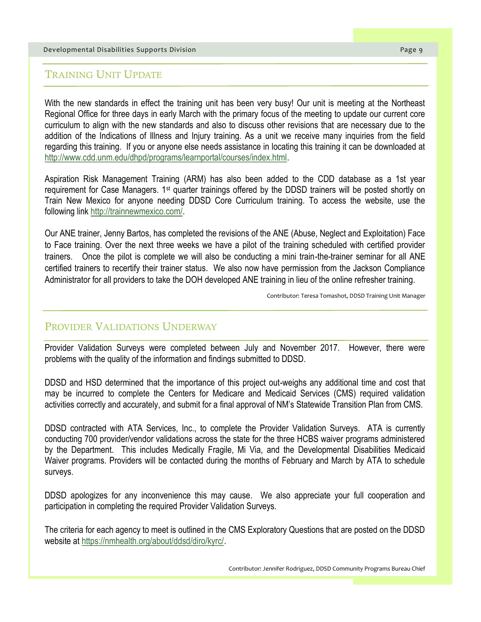#### Developmental Disabilities Supports Division Page 9

### TRAINING UNIT UPDATE

With the new standards in effect the training unit has been very busy! Our unit is meeting at the Northeast Regional Office for three days in early March with the primary focus of the meeting to update our current core curriculum to align with the new standards and also to discuss other revisions that are necessary due to the addition of the Indications of Illness and Injury training. As a unit we receive many inquiries from the field regarding this training. If you or anyone else needs assistance in locating this training it can be downloaded at [http://www.cdd.unm.edu/dhpd/programs/learnportal/courses/index.html.](http://www.cdd.unm.edu/dhpd/programs/learnportal/courses/index.html)

Aspiration Risk Management Training (ARM) has also been added to the CDD database as a 1st year requirement for Case Managers. 1st quarter trainings offered by the DDSD trainers will be posted shortly on Train New Mexico for anyone needing DDSD Core Curriculum training. To access the website, use the following link [http://trainnewmexico.com/.](http://trainnewmexico.com/)

Our ANE trainer, Jenny Bartos, has completed the revisions of the ANE (Abuse, Neglect and Exploitation) Face to Face training. Over the next three weeks we have a pilot of the training scheduled with certified provider trainers. Once the pilot is complete we will also be conducting a mini train-the-trainer seminar for all ANE certified trainers to recertify their trainer status. We also now have permission from the Jackson Compliance Administrator for all providers to take the DOH developed ANE training in lieu of the online refresher training.

Contributor: Teresa Tomashot, DDSD Training Unit Manager

#### PROVIDER VALIDATIONS UNDERWAY

Provider Validation Surveys were completed between July and November 2017. However, there were problems with the quality of the information and findings submitted to DDSD.

DDSD and HSD determined that the importance of this project out-weighs any additional time and cost that may be incurred to complete the Centers for Medicare and Medicaid Services (CMS) required validation activities correctly and accurately, and submit for a final approval of NM's Statewide Transition Plan from CMS.

DDSD contracted with ATA Services, Inc., to complete the Provider Validation Surveys. ATA is currently conducting 700 provider/vendor validations across the state for the three HCBS waiver programs administered by the Department. This includes Medically Fragile, Mi Via, and the Developmental Disabilities Medicaid Waiver programs. Providers will be contacted during the months of February and March by ATA to schedule surveys.

DDSD apologizes for any inconvenience this may cause. We also appreciate your full cooperation and participation in completing the required Provider Validation Surveys.

The criteria for each agency to meet is outlined in the CMS Exploratory Questions that are posted on the DDSD website at [https://nmhealth.org/about/ddsd/diro/kyrc/.](https://nmhealth.org/about/ddsd/diro/kyrc/)